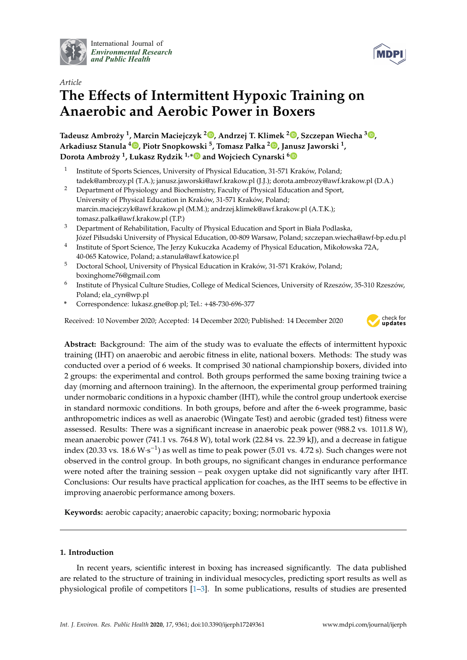

International Journal of *[Environmental Research](http://www.mdpi.com/journal/ijerph) and Public Health*



# *Article* **The E**ff**ects of Intermittent Hypoxic Training on Anaerobic and Aerobic Power in Boxers**

 $\bf{a}$ deusz Ambroży <sup>1</sup>[,](https://orcid.org/0000-0001-9458-557X) Marcin Maciejczyk <sup>2</sup>®, Andrzej T. Klimek <sup>2</sup>®, Szczepan Wiecha <sup>3</sup>®, **Arkadiusz Stanula <sup>4</sup> [,](https://orcid.org/0000-0003-1759-6456) Piotr Snopkowski <sup>5</sup> , Tomasz Pałka <sup>2</sup> [,](https://orcid.org/0000-0001-5225-9397) Janusz Jaworski <sup>1</sup> , Dorota Ambro ˙zy <sup>1</sup> , Łukasz Rydzik 1,[\\*](https://orcid.org/0000-0001-7956-7488) and Wojciech Cynarski [6](https://orcid.org/0000-0003-1252-5456)**

- 1 Institute of Sports Sciences, University of Physical Education, 31-571 Kraków, Poland; tadek@ambrozy.pl (T.A.); janusz.jaworski@awf.krakow.pl (J.J.); dorota.ambrozy@awf.krakow.pl (D.A.)
- <sup>2</sup> Department of Physiology and Biochemistry, Faculty of Physical Education and Sport, University of Physical Education in Kraków, 31-571 Kraków, Poland; marcin.maciejczyk@awf.krakow.pl (M.M.); andrzej.klimek@awf.krakow.pl (A.T.K.); tomasz.palka@awf.krakow.pl (T.P.)
- <sup>3</sup> Department of Rehabilitation, Faculty of Physical Education and Sport in Biała Podlaska, Józef Piłsudski University of Physical Education, 00-809 Warsaw, Poland; szczepan.wiecha@awf-bp.edu.pl
- 4 Institute of Sport Science, The Jerzy Kukuczka Academy of Physical Education, Mikołowska 72A, 40-065 Katowice, Poland; a.stanula@awf.katowice.pl
- <sup>5</sup> Doctoral School, University of Physical Education in Kraków, 31-571 Kraków, Poland; boxinghome76@gmail.com
- 6 Institute of Physical Culture Studies, College of Medical Sciences, University of Rzeszów, 35-310 Rzeszów, Poland; ela\_cyn@wp.pl
- **\*** Correspondence: lukasz.gne@op.pl; Tel.: +48-730-696-377

Received: 10 November 2020; Accepted: 14 December 2020; Published: 14 December 2020



**Abstract:** Background: The aim of the study was to evaluate the effects of intermittent hypoxic training (IHT) on anaerobic and aerobic fitness in elite, national boxers. Methods: The study was conducted over a period of 6 weeks. It comprised 30 national championship boxers, divided into 2 groups: the experimental and control. Both groups performed the same boxing training twice a day (morning and afternoon training). In the afternoon, the experimental group performed training under normobaric conditions in a hypoxic chamber (IHT), while the control group undertook exercise in standard normoxic conditions. In both groups, before and after the 6-week programme, basic anthropometric indices as well as anaerobic (Wingate Test) and aerobic (graded test) fitness were assessed. Results: There was a significant increase in anaerobic peak power (988.2 vs. 1011.8 W), mean anaerobic power (741.1 vs. 764.8 W), total work (22.84 vs. 22.39 kJ), and a decrease in fatigue index (20.33 vs.  $18.6 \text{ W} \cdot \text{s}^{-1}$ ) as well as time to peak power (5.01 vs. 4.72 s). Such changes were not observed in the control group. In both groups, no significant changes in endurance performance were noted after the training session – peak oxygen uptake did not significantly vary after IHT. Conclusions: Our results have practical application for coaches, as the IHT seems to be effective in improving anaerobic performance among boxers.

**Keywords:** aerobic capacity; anaerobic capacity; boxing; normobaric hypoxia

# **1. Introduction**

In recent years, scientific interest in boxing has increased significantly. The data published are related to the structure of training in individual mesocycles, predicting sport results as well as physiological profile of competitors [\[1–](#page-8-0)[3\]](#page-8-1). In some publications, results of studies are presented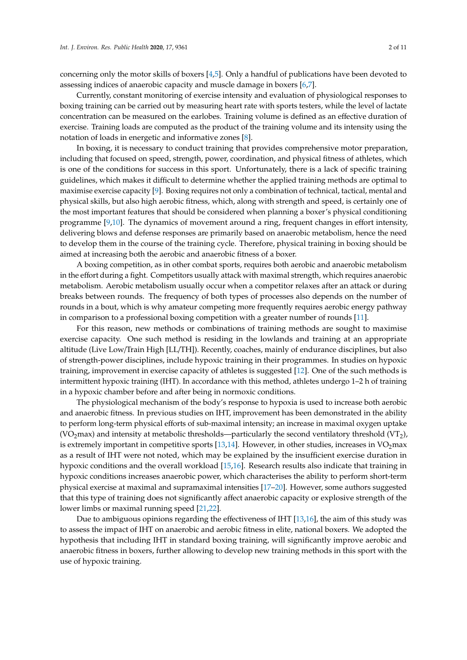concerning only the motor skills of boxers [\[4,](#page-8-2)[5\]](#page-8-3). Only a handful of publications have been devoted to assessing indices of anaerobic capacity and muscle damage in boxers [\[6](#page-8-4)[,7\]](#page-8-5).

Currently, constant monitoring of exercise intensity and evaluation of physiological responses to boxing training can be carried out by measuring heart rate with sports testers, while the level of lactate concentration can be measured on the earlobes. Training volume is defined as an effective duration of exercise. Training loads are computed as the product of the training volume and its intensity using the notation of loads in energetic and informative zones [\[8\]](#page-8-6).

In boxing, it is necessary to conduct training that provides comprehensive motor preparation, including that focused on speed, strength, power, coordination, and physical fitness of athletes, which is one of the conditions for success in this sport. Unfortunately, there is a lack of specific training guidelines, which makes it difficult to determine whether the applied training methods are optimal to maximise exercise capacity [\[9\]](#page-8-7). Boxing requires not only a combination of technical, tactical, mental and physical skills, but also high aerobic fitness, which, along with strength and speed, is certainly one of the most important features that should be considered when planning a boxer's physical conditioning programme [\[9,](#page-8-7)[10\]](#page-8-8). The dynamics of movement around a ring, frequent changes in effort intensity, delivering blows and defense responses are primarily based on anaerobic metabolism, hence the need to develop them in the course of the training cycle. Therefore, physical training in boxing should be aimed at increasing both the aerobic and anaerobic fitness of a boxer.

A boxing competition, as in other combat sports, requires both aerobic and anaerobic metabolism in the effort during a fight. Competitors usually attack with maximal strength, which requires anaerobic metabolism. Aerobic metabolism usually occur when a competitor relaxes after an attack or during breaks between rounds. The frequency of both types of processes also depends on the number of rounds in a bout, which is why amateur competing more frequently requires aerobic energy pathway in comparison to a professional boxing competition with a greater number of rounds [\[11\]](#page-8-9).

For this reason, new methods or combinations of training methods are sought to maximise exercise capacity. One such method is residing in the lowlands and training at an appropriate altitude (Live Low/Train High [LL/TH]). Recently, coaches, mainly of endurance disciplines, but also of strength-power disciplines, include hypoxic training in their programmes. In studies on hypoxic training, improvement in exercise capacity of athletes is suggested [\[12\]](#page-8-10). One of the such methods is intermittent hypoxic training (IHT). In accordance with this method, athletes undergo 1–2 h of training in a hypoxic chamber before and after being in normoxic conditions.

The physiological mechanism of the body's response to hypoxia is used to increase both aerobic and anaerobic fitness. In previous studies on IHT, improvement has been demonstrated in the ability to perform long-term physical efforts of sub-maximal intensity; an increase in maximal oxygen uptake (VO<sub>2</sub>max) and intensity at metabolic thresholds—particularly the second ventilatory threshold (VT<sub>2</sub>), is extremely important in competitive sports  $[13,14]$  $[13,14]$ . However, in other studies, increases in VO<sub>2</sub>max as a result of IHT were not noted, which may be explained by the insufficient exercise duration in hypoxic conditions and the overall workload [\[15](#page-8-13)[,16\]](#page-8-14). Research results also indicate that training in hypoxic conditions increases anaerobic power, which characterises the ability to perform short-term physical exercise at maximal and supramaximal intensities [\[17–](#page-8-15)[20\]](#page-8-16). However, some authors suggested that this type of training does not significantly affect anaerobic capacity or explosive strength of the lower limbs or maximal running speed [\[21](#page-8-17)[,22\]](#page-8-18).

Due to ambiguous opinions regarding the effectiveness of IHT [\[13,](#page-8-11)[16\]](#page-8-14), the aim of this study was to assess the impact of IHT on anaerobic and aerobic fitness in elite, national boxers. We adopted the hypothesis that including IHT in standard boxing training, will significantly improve aerobic and anaerobic fitness in boxers, further allowing to develop new training methods in this sport with the use of hypoxic training.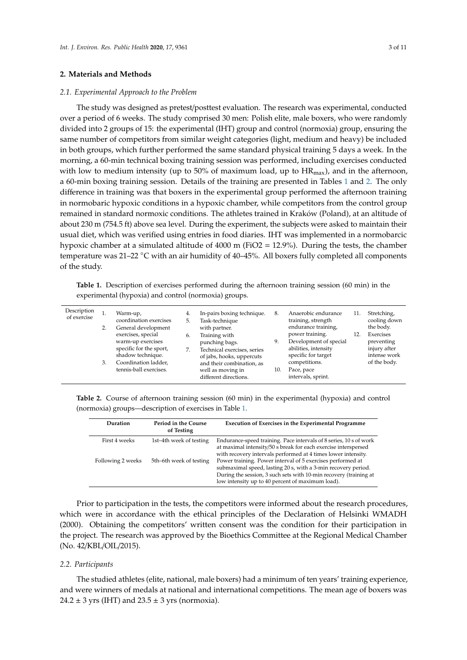## **2. Materials and Methods**

#### *2.1. Experimental Approach to the Problem*

The study was designed as pretest/posttest evaluation. The research was experimental, conducted over a period of 6 weeks. The study comprised 30 men: Polish elite, male boxers, who were randomly divided into 2 groups of 15: the experimental (IHT) group and control (normoxia) group, ensuring the same number of competitors from similar weight categories (light, medium and heavy) be included in both groups, which further performed the same standard physical training 5 days a week. In the morning, a 60-min technical boxing training session was performed, including exercises conducted with low to medium intensity (up to 50% of maximum load, up to  $HR_{max}$ ), and in the afternoon, a 60-min boxing training session. Details of the training are presented in Tables [1](#page-2-0) and [2.](#page-2-1) The only difference in training was that boxers in the experimental group performed the afternoon training in normobaric hypoxic conditions in a hypoxic chamber, while competitors from the control group remained in standard normoxic conditions. The athletes trained in Kraków (Poland), at an altitude of about 230 m (754.5 ft) above sea level. During the experiment, the subjects were asked to maintain their usual diet, which was verified using entries in food diaries. IHT was implemented in a normobarcic hypoxic chamber at a simulated altitude of 4000 m (FiO2 = 12.9%). During the tests, the chamber temperature was 21−22 °C with an air humidity of 40−45%. All boxers fully completed all components of the study.

<span id="page-2-0"></span>**Table 1.** Description of exercises performed during the afternoon training session (60 min) in the experimental (hypoxia) and control (normoxia) groups.

| Description<br>of exercise | 3. | Warm-up,<br>coordination exercises<br>General development<br>exercises, special<br>warm-up exercises<br>specific for the sport,<br>shadow technique.<br>Coordination ladder,<br>tennis-ball exercises. | 4.<br>5.<br>6.<br>7. | In-pairs boxing technique.<br>Task-technique<br>with partner.<br>Training with<br>punching bags.<br>Technical exercises, series<br>of jabs, hooks, uppercuts<br>and their combination, as<br>well as moving in<br>different directions. | 8.<br>9.<br>10. | Anaerobic endurance<br>training, strength<br>endurance training,<br>power training.<br>Development of special<br>abilities, intensity<br>specific for target<br>competitions.<br>Pace, pace<br>intervals, sprint. | 11.<br>12. | Stretching,<br>cooling down<br>the body.<br>Exercises<br>preventing<br>injury after<br>intense work<br>of the body. |
|----------------------------|----|--------------------------------------------------------------------------------------------------------------------------------------------------------------------------------------------------------|----------------------|-----------------------------------------------------------------------------------------------------------------------------------------------------------------------------------------------------------------------------------------|-----------------|-------------------------------------------------------------------------------------------------------------------------------------------------------------------------------------------------------------------|------------|---------------------------------------------------------------------------------------------------------------------|
|----------------------------|----|--------------------------------------------------------------------------------------------------------------------------------------------------------------------------------------------------------|----------------------|-----------------------------------------------------------------------------------------------------------------------------------------------------------------------------------------------------------------------------------------|-----------------|-------------------------------------------------------------------------------------------------------------------------------------------------------------------------------------------------------------------|------------|---------------------------------------------------------------------------------------------------------------------|

<span id="page-2-1"></span>**Table 2.** Course of afternoon training session (60 min) in the experimental (hypoxia) and control (normoxia) groups—description of exercises in Table [1.](#page-2-0)

| Duration          | Period in the Course<br>of Testing | Execution of Exercises in the Experimental Programme                                                                                                                                                                                                 |
|-------------------|------------------------------------|------------------------------------------------------------------------------------------------------------------------------------------------------------------------------------------------------------------------------------------------------|
| First 4 weeks     | 1st-4th week of testing            | Endurance-speed training. Pace intervals of 8 series, 10 s of work<br>at maximal intensity/50 s break for each exercise interspersed<br>with recovery intervals performed at 4 times lower intensity.                                                |
| Following 2 weeks | 5th-6th week of testing            | Power training. Power interval of 5 exercises performed at<br>submaximal speed, lasting 20 s, with a 3-min recovery period.<br>During the session, 3 such sets with 10-min recovery (training at<br>low intensity up to 40 percent of maximum load). |

Prior to participation in the tests, the competitors were informed about the research procedures, which were in accordance with the ethical principles of the Declaration of Helsinki WMADH (2000). Obtaining the competitors' written consent was the condition for their participation in the project. The research was approved by the Bioethics Committee at the Regional Medical Chamber (No. 42/KBL/OIL/2015).

#### *2.2. Participants*

The studied athletes (elite, national, male boxers) had a minimum of ten years' training experience, and were winners of medals at national and international competitions. The mean age of boxers was  $24.2 \pm 3$  yrs (IHT) and  $23.5 \pm 3$  yrs (normoxia).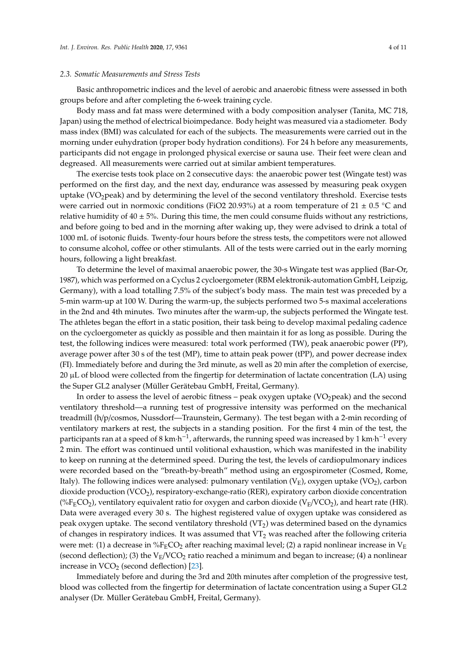#### *2.3. Somatic Measurements and Stress Tests*

Basic anthropometric indices and the level of aerobic and anaerobic fitness were assessed in both groups before and after completing the 6-week training cycle.

Body mass and fat mass were determined with a body composition analyser (Tanita, MC 718, Japan) using the method of electrical bioimpedance. Body height was measured via a stadiometer. Body mass index (BMI) was calculated for each of the subjects. The measurements were carried out in the morning under euhydration (proper body hydration conditions). For 24 h before any measurements, participants did not engage in prolonged physical exercise or sauna use. Their feet were clean and degreased. All measurements were carried out at similar ambient temperatures.

The exercise tests took place on 2 consecutive days: the anaerobic power test (Wingate test) was performed on the first day, and the next day, endurance was assessed by measuring peak oxygen uptake (VO<sub>2</sub>peak) and by determining the level of the second ventilatory threshold. Exercise tests were carried out in normoxic conditions (FiO2 20.93%) at a room temperature of 21  $\pm$  0.5 °C and relative humidity of  $40 \pm 5\%$ . During this time, the men could consume fluids without any restrictions, and before going to bed and in the morning after waking up, they were advised to drink a total of 1000 mL of isotonic fluids. Twenty-four hours before the stress tests, the competitors were not allowed to consume alcohol, coffee or other stimulants. All of the tests were carried out in the early morning hours, following a light breakfast.

To determine the level of maximal anaerobic power, the 30-s Wingate test was applied (Bar-Or, 1987), which was performed on a Cyclus 2 cycloergometer (RBM elektronik-automation GmbH, Leipzig, Germany), with a load totalling 7.5% of the subject's body mass. The main test was preceded by a 5-min warm-up at 100 W. During the warm-up, the subjects performed two 5-s maximal accelerations in the 2nd and 4th minutes. Two minutes after the warm-up, the subjects performed the Wingate test. The athletes began the effort in a static position, their task being to develop maximal pedaling cadence on the cycloergometer as quickly as possible and then maintain it for as long as possible. During the test, the following indices were measured: total work performed (TW), peak anaerobic power (PP), average power after 30 s of the test (MP), time to attain peak power (tPP), and power decrease index (FI). Immediately before and during the 3rd minute, as well as 20 min after the completion of exercise, 20 µL of blood were collected from the fingertip for determination of lactate concentration (LA) using the Super GL2 analyser (Müller Gerätebau GmbH, Freital, Germany).

In order to assess the level of aerobic fitness – peak oxygen uptake  $(VO_2)$  peak) and the second ventilatory threshold—a running test of progressive intensity was performed on the mechanical treadmill (h/p/cosmos, Nussdorf—Traunstein, Germany). The test began with a 2-min recording of ventilatory markers at rest, the subjects in a standing position. For the first 4 min of the test, the participants ran at a speed of 8 km·h<sup>-1</sup>, afterwards, the running speed was increased by 1 km·h<sup>-1</sup> every 2 min. The effort was continued until volitional exhaustion, which was manifested in the inability to keep on running at the determined speed. During the test, the levels of cardiopulmonary indices were recorded based on the "breath-by-breath" method using an ergospirometer (Cosmed, Rome, Italy). The following indices were analysed: pulmonary ventilation  $(V_E)$ , oxygen uptake (VO<sub>2</sub>), carbon dioxide production (VCO2), respiratory-exchange-ratio (RER), expiratory carbon dioxide concentration (%F<sub>E</sub>CO<sub>2</sub>), ventilatory equivalent ratio for oxygen and carbon dioxide (V<sub>E</sub>/VCO<sub>2</sub>), and heart rate (HR). Data were averaged every 30 s. The highest registered value of oxygen uptake was considered as peak oxygen uptake. The second ventilatory threshold  $(VT<sub>2</sub>)$  was determined based on the dynamics of changes in respiratory indices. It was assumed that  $VT_2$  was reached after the following criteria were met: (1) a decrease in %F<sub>E</sub>CO<sub>2</sub> after reaching maximal level; (2) a rapid nonlinear increase in  $V_E$ (second deflection); (3) the  $V_F/VCO_2$  ratio reached a minimum and began to increase; (4) a nonlinear increase in  $VCO<sub>2</sub>$  (second deflection) [\[23\]](#page-8-19).

Immediately before and during the 3rd and 20th minutes after completion of the progressive test, blood was collected from the fingertip for determination of lactate concentration using a Super GL2 analyser (Dr. Müller Gerätebau GmbH, Freital, Germany).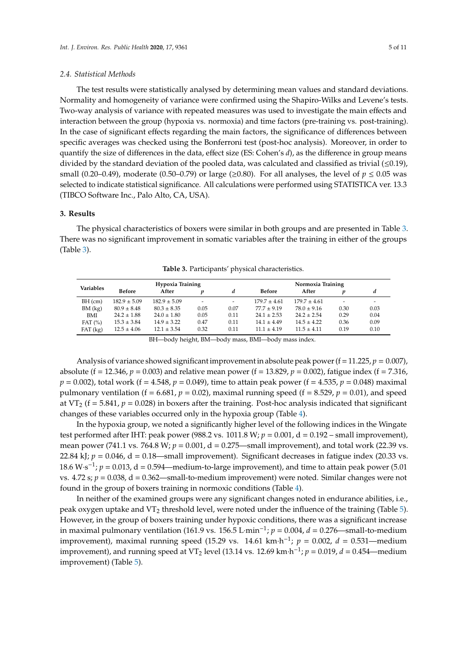#### *2.4. Statistical Methods*

The test results were statistically analysed by determining mean values and standard deviations. Normality and homogeneity of variance were confirmed using the Shapiro-Wilks and Levene's tests. Two-way analysis of variance with repeated measures was used to investigate the main effects and interaction between the group (hypoxia vs. normoxia) and time factors (pre-training vs. post-training). In the case of significant effects regarding the main factors, the significance of differences between specific averages was checked using the Bonferroni test (post-hoc analysis). Moreover, in order to quantify the size of differences in the data, effect size (ES: Cohen's *d*), as the difference in group means divided by the standard deviation of the pooled data, was calculated and classified as trivial  $(\leq 0.19)$ , small (0.20–0.49), moderate (0.50–0.79) or large ( $\geq$ 0.80). For all analyses, the level of  $p \leq 0.05$  was selected to indicate statistical significance. All calculations were performed using STATISTICA ver. 13.3 (TIBCO Software Inc., Palo Alto, CA, USA).

# **3. Results**

The physical characteristics of boxers were similar in both groups and are presented in Table [3.](#page-4-0) There was no significant improvement in somatic variables after the training in either of the groups (Table [3\)](#page-4-0).

<span id="page-4-0"></span>

| <b>Variables</b> |                  | <b>Hypoxia Training</b> |      |      | Normoxia Training |                 |                          |      |  |
|------------------|------------------|-------------------------|------|------|-------------------|-----------------|--------------------------|------|--|
|                  | <b>Before</b>    | After                   |      | d    | Before            | After           |                          | d    |  |
| BH (cm)          | $182.9 \pm 5.09$ | $182.9 \pm 5.09$        |      | -    | $179.7 + 4.61$    | $179.7 + 4.61$  | $\overline{\phantom{a}}$ | ۰    |  |
| BM (kg)          | $80.9 \pm 8.48$  | $80.3 + 8.35$           | 0.05 | 0.07 | $77.7 + 9.19$     | $78.0 + 9.16$   | 0.30                     | 0.03 |  |
| BMI              | $24.2 + 1.88$    | $24.0 + 1.80$           | 0.05 | 0.11 | $24.1 + 2.53$     | $24.2 + 2.54$   | 0.29                     | 0.04 |  |
| FAT $(\% )$      | $15.3 \pm 3.84$  | $14.9 \pm 3.22$         | 0.47 | 0.11 | $14.1 + 4.49$     | $14.5 \pm 4.22$ | 0.36                     | 0.09 |  |
| $FAT$ (kg)       | $12.5 + 4.06$    | $12.1 + 3.54$           | 0.32 | 0.11 | $11.1 + 4.19$     | $11.5 + 4.11$   | 0.19                     | 0.10 |  |

**Table 3.** Participants' physical characteristics.

BH—body height, BM—body mass, BMI—body mass index.

Analysis of variance showed significant improvement in absolute peak power (f = 11.225,  $p = 0.007$ ), absolute (f = 12.346, *p* = 0.003) and relative mean power (f = 13.829, *p* = 0.002), fatigue index (f = 7.316,  $p = 0.002$ , total work (f = 4.548,  $p = 0.049$ ), time to attain peak power (f = 4.535,  $p = 0.048$ ) maximal pulmonary ventilation ( $f = 6.681$ ,  $p = 0.02$ ), maximal running speed ( $f = 8.529$ ,  $p = 0.01$ ), and speed at VT<sub>2</sub> (f = 5.841,  $p = 0.028$ ) in boxers after the training. Post-hoc analysis indicated that significant changes of these variables occurred only in the hypoxia group (Table [4\)](#page-5-0).

In the hypoxia group, we noted a significantly higher level of the following indices in the Wingate test performed after IHT: peak power (988.2 vs. 1011.8 W;  $p = 0.001$ , d = 0.192 – small improvement), mean power (741.1 vs. 764.8 W;  $p = 0.001$ ,  $d = 0.275$ —small improvement), and total work (22.39 vs. 22.84 kJ;  $p = 0.046$ ,  $d = 0.18$ —small improvement). Significant decreases in fatigue index (20.33 vs. 18.6 W·s<sup>-1</sup>;  $p = 0.013$ ,  $d = 0.594$ —medium-to-large improvement), and time to attain peak power (5.01) vs. 4.72 s; *p* = 0.038, d = 0.362—small-to-medium improvement) were noted. Similar changes were not found in the group of boxers training in normoxic conditions (Table [4\)](#page-5-0).

In neither of the examined groups were any significant changes noted in endurance abilities, i.e., peak oxygen uptake and VT<sub>2</sub> threshold level, were noted under the influence of the training (Table [5\)](#page-5-1). However, in the group of boxers training under hypoxic conditions, there was a significant increase in maximal pulmonary ventilation (161.9 vs. 156.5 L·min<sup>-1</sup>;  $p = 0.004$ ,  $d = 0.276$ —small-to-medium improvement), maximal running speed (15.29 vs. 14.61 km·h<sup>-1</sup>;  $p = 0.002$ ,  $d = 0.531$ —medium improvement), and running speed at VT<sub>2</sub> level (13.14 vs. 12.69 km·h<sup>-1</sup>;  $p = 0.019$ ,  $d = 0.454$ —medium improvement) (Table [5\)](#page-5-1).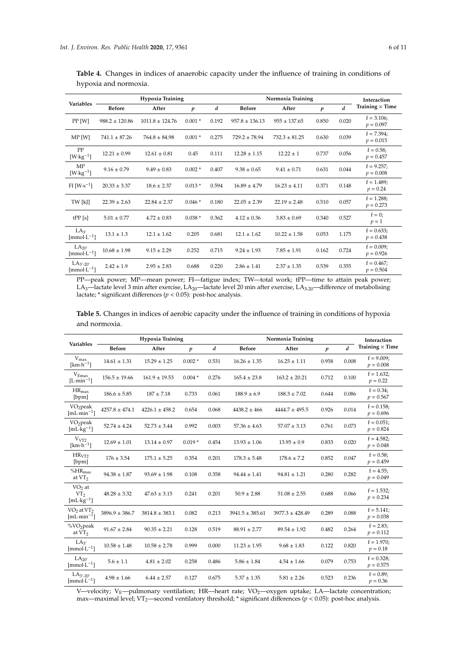|                                         |                    | <b>Hypoxia Training</b> |                  |                  | Normoxia Training  | <b>Interaction</b> |                  |                  |                              |
|-----------------------------------------|--------------------|-------------------------|------------------|------------------|--------------------|--------------------|------------------|------------------|------------------------------|
| <b>Variables</b>                        | <b>Before</b>      | After                   | $\boldsymbol{p}$ | $\boldsymbol{d}$ | <b>Before</b>      | After              | $\boldsymbol{p}$ | $\boldsymbol{d}$ | Training $\times$ Time       |
| PP[W]                                   | $988.2 \pm 120.86$ | $1011.8 \pm 124.76$     | $0.001*$         | 0.192            | $957.8 \pm 136.13$ | $955 \pm 137.65$   | 0.850            | 0.020            | $f = 3.106$ ;<br>$p = 0.097$ |
| MP [W]                                  | $741.1 \pm 87.26$  | $764.8 \pm 84.98$       | $0.001*$         | 0.275            | $729.2 \pm 78.94$  | $732.3 + 81.25$    | 0.630            | 0.039            | $f = 7.394$ ;<br>$p = 0.015$ |
| PP<br>$[W \cdot \text{kg}^{-1}]$        | $12.21 \pm 0.99$   | $12.61 \pm 0.81$        | 0.45             | 0.111            | $12.28 \pm 1.15$   | $12.22 \pm 1$      | 0.737            | 0.056            | $f = 0.58$ ;<br>$p = 0.457$  |
| <b>MP</b><br>$[W \cdot \text{kg}^{-1}]$ | $9.16 \pm 0.79$    | $9.49 \pm 0.83$         | $0.002*$         | 0.407            | $9.38 \pm 0.65$    | $9.41 \pm 0.71$    | 0.631            | 0.044            | $f = 9.257$ :<br>$p = 0.008$ |
| FI $[W \cdot s^{-1}]$                   | $20.33 \pm 3.37$   | $18.6 \pm 2.37$         | $0.013*$         | 0.594            | $16.89 \pm 4.79$   | $16.23 \pm 4.11$   | 0.371            | 0.148            | $f = 1.489$ ;<br>$p = 0.24$  |
| TW [kJ]                                 | $22.39 \pm 2.63$   | $22.84 \pm 2.37$        | $0.046*$         | 0.180            | $22.05 \pm 2.39$   | $22.19 \pm 2.48$   | 0.510            | 0.057            | $f = 1.288$ ;<br>$p = 0.273$ |
| tPP[s]                                  | $5.01 \pm 0.77$    | $4.72 \pm 0.83$         | $0.038*$         | 0.362            | $4.12 \pm 0.36$    | $3.83 \pm 0.69$    | 0.340            | 0.527            | $f = 0$ ;<br>$p=1$           |
| $LA_{3'}$<br>[ $mmol·L^{-1}$ ]          | $13.1 \pm 1.3$     | $12.1 \pm 1.62$         | 0.205            | 0.681            | $12.1 \pm 1.62$    | $10.22 \pm 1.58$   | 0.053            | 1.175            | $f = 0.633$ ;<br>$p = 0.438$ |
| LA <sub>20'</sub><br>$[mmol·L^{-1}]$    | $10.68 \pm 1.98$   | $9.15 \pm 2.29$         | 0.252            | 0.715            | $9.24 \pm 1.93$    | $7.85 \pm 1.91$    | 0.162            | 0.724            | $f = 0.009$ ;<br>$p = 0.926$ |
| $LA_{3' - 20'}$<br>$[mmol·L^{-1}]$      | $2.42 \pm 1.9$     | $2.95 \pm 2.83$         | 0.688            | 0.220            | $2.86 \pm 1.41$    | $2.37 \pm 1.35$    | 0.539            | 0.355            | $f = 0.467$ ;<br>$p = 0.504$ |

<span id="page-5-0"></span>**Table 4.** Changes in indices of anaerobic capacity under the influence of training in conditions of hypoxia and normoxia.

PP—peak power; MP—mean power; FI—fatigue index; TW—total work; tPP—time to attain peak power; LA<sub>3</sub>—lactate level 3 min after exercise, LA<sub>20</sub>—lactate level 20 min after exercise, LA<sub>3-20</sub>—difference of metabolising lactate; \* significant differences ( $p < 0.05$ ): post-hoc analysis.

|                                                     |                    | <b>Hypoxia Training</b> |                  |       | Normoxia Training   | Interaction         |                  |                  |                              |
|-----------------------------------------------------|--------------------|-------------------------|------------------|-------|---------------------|---------------------|------------------|------------------|------------------------------|
| <b>Variables</b>                                    | <b>Before</b>      | After                   | $\boldsymbol{p}$ | d     | <b>Before</b>       | After               | $\boldsymbol{p}$ | $\boldsymbol{d}$ | Training $\times$ Time       |
| $V_{\text{max}}$<br>$[km\cdot h^{-1}]$              | $14.61 \pm 1.31$   | $15.29 \pm 1.25$        | $0.002*$         | 0.531 | $16.26 \pm 1.35$    | $16.25 \pm 1.11$    | 0.958            | 0.008            | $f = 9.009$ ;<br>$p = 0.008$ |
| $V_{Emax}$<br>[L $\cdot$ min <sup>-1</sup> ]        | $156.5 \pm 19.66$  | $161.9 \pm 19.53$       | $0.004*$         | 0.276 | $165.4 \pm 23.8$    | $163.2 \pm 20.21$   | 0.712            | 0.100            | $f = 1.632$ ;<br>$p = 0.22$  |
| $\rm HR_{max}$<br>[bpm]                             | $186.6 \pm 5.85$   | $187 \pm 7.18$          | 0.733            | 0.061 | $188.9 \pm 6.9$     | $188.3 \pm 7.02$    | 0.644            | 0.086            | $f = 0.34$ ;<br>$p = 0.567$  |
| VO <sub>2</sub> peak<br>$[mL·min^{-1}]$             | $4257.8 \pm 474.1$ | $4226.1 \pm 458.2$      | 0.654            | 0.068 | $4438.2 \pm 466$    | $4444.7 \pm 495.5$  | 0.926            | 0.014            | $f = 0.158$ ;<br>$p = 0.696$ |
| VO <sub>2</sub> peak<br>$[mL \text{ kg}^{-1}]$      | $52.74 \pm 4.24$   | $52.73 \pm 3.44$        | 0.992            | 0.003 | $57.36 \pm 4.63$    | $57.07 \pm 3.13$    | 0.761            | 0.073            | $f = 0.051$ ;<br>$p = 0.824$ |
| V <sub>VT2</sub><br>[km·h <sup>-1</sup> ]           | $12.69 \pm 1.01$   | $13.14 \pm 0.97$        | $0.019*$         | 0.454 | $13.93 \pm 1.06$    | $13.95 \pm 0.9$     | 0.833            | 0.020            | $f = 4.582$ ;<br>$p = 0.048$ |
| HR <sub>VT2</sub><br>[bpm]                          | $176 \pm 3.54$     | $175.1 \pm 5.25$        | 0.354            | 0.201 | $178.3 \pm 5.48$    | $178.6 \pm 7.2$     | 0.852            | 0.047            | $f = 0.58$ ;<br>$p = 0.459$  |
| $%HR_{max}$<br>at $VT_2$                            | $94.38 \pm 1.87$   | $93.69 \pm 1.98$        | 0.108            | 0.358 | $94.44 \pm 1.41$    | $94.81 \pm 1.21$    | 0.280            | 0.282            | $f = 4.55$ ;<br>$p = 0.049$  |
| $VO2$ at<br>VT <sub>2</sub><br>$[mL \cdot kg^{-1}]$ | $48.28 \pm 3.32$   | $47.63 \pm 3.15$        | 0.241            | 0.201 | $50.9 \pm 2.88$     | $51.08 \pm 2.55$    | 0.688            | 0.066            | $f = 1.532$ ;<br>$p = 0.234$ |
| $VO2$ at $VT2$<br>$[mL·min^{-1}]$                   | $3896.9 \pm 386.7$ | $3814.8 \pm 383.1$      | 0.082            | 0.213 | $3941.5 \pm 385.61$ | $3977.3 \pm 428.49$ | 0.289            | 0.088            | $f = 5.141$ ;<br>$p = 0.038$ |
| %VO <sub>2</sub> peak<br>at $VT_2$                  | $91.67 \pm 2.84$   | $90.35 \pm 2.21$        | 0.128            | 0.519 | $88.91 \pm 2.77$    | $89.54 \pm 1.92$    | 0.482            | 0.264            | $f = 2.83$ ;<br>$p = 0.112$  |
| $LA_{3'}$<br>$[mmol·L^{-1}]$                        | $10.58 \pm 1.48$   | $10.58 \pm 2.78$        | 0.999            | 0.000 | $11.23 \pm 1.95$    | $9.68 \pm 1.83$     | 0.122            | 0.820            | $f = 1.970$ ;<br>$p = 0.18$  |
| $LA_{20'}$<br>$[mmol·L^{-1}]$                       | $5.6 \pm 1.1$      | $4.81 \pm 2.02$         | 0.258            | 0.486 | $5.86 \pm 1.84$     | $4.54 \pm 1.66$     | 0.079            | 0.753            | $f = 0.328$ ;<br>$p = 0.575$ |
| $LA_{3' - 20'}$<br>$[mmol·L^{-1}]$                  | $4.98 \pm 1.66$    | $6.44 \pm 2.57$         | 0.127            | 0.675 | $5.37 \pm 1.35$     | $5.81 \pm 2.26$     | 0.523            | 0.236            | $f = 0.89$ ;<br>$p = 0.36$   |

<span id="page-5-1"></span>**Table 5.** Changes in indices of aerobic capacity under the influence of training in conditions of hypoxia and normoxia.

V—velocity; V<sub>E</sub>—pulmonary ventilation; HR—heart rate; VO<sub>2</sub>—oxygen uptake; LA—lactate concentration; max—maximal level; VT2—second ventilatory threshold; \* significant differences (*p* < 0.05): post-hoc analysis.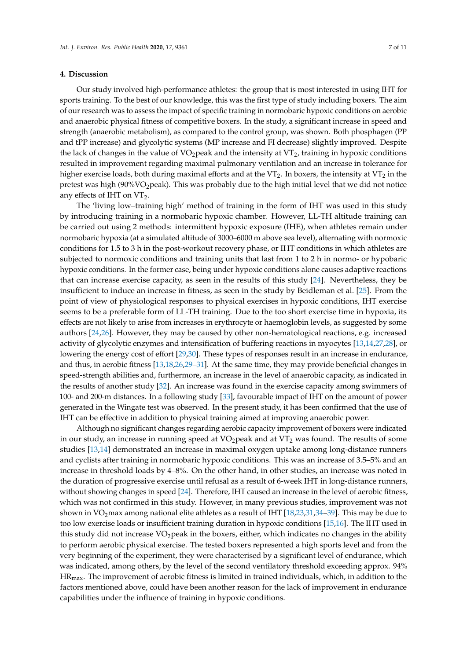## **4. Discussion**

Our study involved high-performance athletes: the group that is most interested in using IHT for sports training. To the best of our knowledge, this was the first type of study including boxers. The aim of our research was to assess the impact of specific training in normobaric hypoxic conditions on aerobic and anaerobic physical fitness of competitive boxers. In the study, a significant increase in speed and strength (anaerobic metabolism), as compared to the control group, was shown. Both phosphagen (PP and tPP increase) and glycolytic systems (MP increase and FI decrease) slightly improved. Despite the lack of changes in the value of  $VO<sub>2</sub>peak$  and the intensity at  $VT<sub>2</sub>$ , training in hypoxic conditions resulted in improvement regarding maximal pulmonary ventilation and an increase in tolerance for higher exercise loads, both during maximal efforts and at the  $VT_2$ . In boxers, the intensity at  $VT_2$  in the pretest was high (90%VO2peak). This was probably due to the high initial level that we did not notice any effects of IHT on  $VT_2$ .

The 'living low–training high' method of training in the form of IHT was used in this study by introducing training in a normobaric hypoxic chamber. However, LL-TH altitude training can be carried out using 2 methods: intermittent hypoxic exposure (IHE), when athletes remain under normobaric hypoxia (at a simulated altitude of 3000–6000 m above sea level), alternating with normoxic conditions for 1.5 to 3 h in the post-workout recovery phase, or IHT conditions in which athletes are subjected to normoxic conditions and training units that last from 1 to 2 h in normo- or hypobaric hypoxic conditions. In the former case, being under hypoxic conditions alone causes adaptive reactions that can increase exercise capacity, as seen in the results of this study [\[24\]](#page-9-0). Nevertheless, they be insufficient to induce an increase in fitness, as seen in the study by Beidleman et al. [\[25\]](#page-9-1). From the point of view of physiological responses to physical exercises in hypoxic conditions, IHT exercise seems to be a preferable form of LL-TH training. Due to the too short exercise time in hypoxia, its effects are not likely to arise from increases in erythrocyte or haemoglobin levels, as suggested by some authors [\[24,](#page-9-0)[26\]](#page-9-2). However, they may be caused by other non-hematological reactions, e.g. increased activity of glycolytic enzymes and intensification of buffering reactions in myocytes [\[13,](#page-8-11)[14,](#page-8-12)[27,](#page-9-3)[28\]](#page-9-4), or lowering the energy cost of effort [\[29](#page-9-5)[,30\]](#page-9-6). These types of responses result in an increase in endurance, and thus, in aerobic fitness [\[13](#page-8-11)[,18,](#page-8-20)[26,](#page-9-2)[29–](#page-9-5)[31\]](#page-9-7). At the same time, they may provide beneficial changes in speed-strength abilities and, furthermore, an increase in the level of anaerobic capacity, as indicated in the results of another study [\[32\]](#page-9-8). An increase was found in the exercise capacity among swimmers of 100- and 200-m distances. In a following study [\[33\]](#page-9-9), favourable impact of IHT on the amount of power generated in the Wingate test was observed. In the present study, it has been confirmed that the use of IHT can be effective in addition to physical training aimed at improving anaerobic power.

Although no significant changes regarding aerobic capacity improvement of boxers were indicated in our study, an increase in running speed at  $VO<sub>2</sub>$  peak and at  $VT<sub>2</sub>$  was found. The results of some studies [\[13](#page-8-11)[,14\]](#page-8-12) demonstrated an increase in maximal oxygen uptake among long-distance runners and cyclists after training in normobaric hypoxic conditions. This was an increase of 3.5–5% and an increase in threshold loads by 4–8%. On the other hand, in other studies, an increase was noted in the duration of progressive exercise until refusal as a result of 6-week IHT in long-distance runners, without showing changes in speed [\[24\]](#page-9-0). Therefore, IHT caused an increase in the level of aerobic fitness, which was not confirmed in this study. However, in many previous studies, improvement was not shown in VO<sub>2</sub>max among national elite athletes as a result of IHT [\[18,](#page-8-20)[23](#page-8-19)[,31](#page-9-7)[,34](#page-9-10)-39]. This may be due to too low exercise loads or insufficient training duration in hypoxic conditions [\[15](#page-8-13)[,16\]](#page-8-14). The IHT used in this study did not increase  $VO<sub>2</sub>peak$  in the boxers, either, which indicates no changes in the ability to perform aerobic physical exercise. The tested boxers represented a high sports level and from the very beginning of the experiment, they were characterised by a significant level of endurance, which was indicated, among others, by the level of the second ventilatory threshold exceeding approx. 94%  $HR_{max}$ . The improvement of aerobic fitness is limited in trained individuals, which, in addition to the factors mentioned above, could have been another reason for the lack of improvement in endurance capabilities under the influence of training in hypoxic conditions.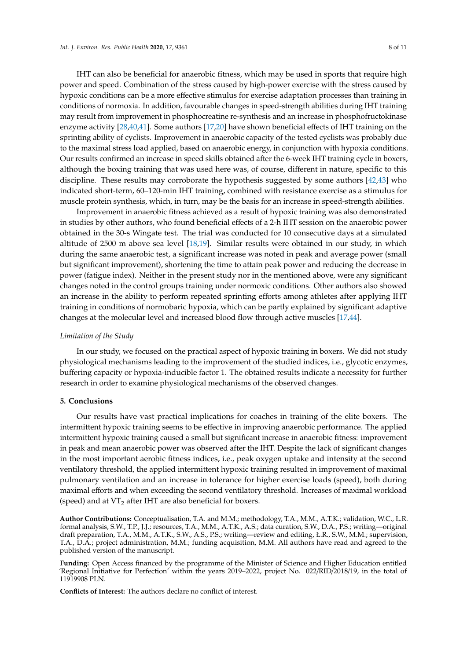IHT can also be beneficial for anaerobic fitness, which may be used in sports that require high power and speed. Combination of the stress caused by high-power exercise with the stress caused by hypoxic conditions can be a more effective stimulus for exercise adaptation processes than training in conditions of normoxia. In addition, favourable changes in speed-strength abilities during IHT training may result from improvement in phosphocreatine re-synthesis and an increase in phosphofructokinase enzyme activity [\[28,](#page-9-4)[40](#page-9-12)[,41\]](#page-9-13). Some authors [\[17,](#page-8-15)[20\]](#page-8-16) have shown beneficial effects of IHT training on the sprinting ability of cyclists. Improvement in anaerobic capacity of the tested cyclists was probably due to the maximal stress load applied, based on anaerobic energy, in conjunction with hypoxia conditions. Our results confirmed an increase in speed skills obtained after the 6-week IHT training cycle in boxers, although the boxing training that was used here was, of course, different in nature, specific to this discipline. These results may corroborate the hypothesis suggested by some authors [\[42,](#page-9-14)[43\]](#page-9-15) who indicated short-term, 60–120-min IHT training, combined with resistance exercise as a stimulus for muscle protein synthesis, which, in turn, may be the basis for an increase in speed-strength abilities.

Improvement in anaerobic fitness achieved as a result of hypoxic training was also demonstrated in studies by other authors, who found beneficial effects of a 2-h IHT session on the anaerobic power obtained in the 30-s Wingate test. The trial was conducted for 10 consecutive days at a simulated altitude of 2500 m above sea level [\[18](#page-8-20)[,19\]](#page-8-21). Similar results were obtained in our study, in which during the same anaerobic test, a significant increase was noted in peak and average power (small but significant improvement), shortening the time to attain peak power and reducing the decrease in power (fatigue index). Neither in the present study nor in the mentioned above, were any significant changes noted in the control groups training under normoxic conditions. Other authors also showed an increase in the ability to perform repeated sprinting efforts among athletes after applying IHT training in conditions of normobaric hypoxia, which can be partly explained by significant adaptive changes at the molecular level and increased blood flow through active muscles [\[17,](#page-8-15)[44\]](#page-10-0).

#### *Limitation of the Study*

In our study, we focused on the practical aspect of hypoxic training in boxers. We did not study physiological mechanisms leading to the improvement of the studied indices, i.e., glycotic enzymes, buffering capacity or hypoxia-inducible factor 1. The obtained results indicate a necessity for further research in order to examine physiological mechanisms of the observed changes.

# **5. Conclusions**

Our results have vast practical implications for coaches in training of the elite boxers. The intermittent hypoxic training seems to be effective in improving anaerobic performance. The applied intermittent hypoxic training caused a small but significant increase in anaerobic fitness: improvement in peak and mean anaerobic power was observed after the IHT. Despite the lack of significant changes in the most important aerobic fitness indices, i.e., peak oxygen uptake and intensity at the second ventilatory threshold, the applied intermittent hypoxic training resulted in improvement of maximal pulmonary ventilation and an increase in tolerance for higher exercise loads (speed), both during maximal efforts and when exceeding the second ventilatory threshold. Increases of maximal workload (speed) and at  $VT_2$  after IHT are also beneficial for boxers.

**Author Contributions:** Conceptualisation, T.A. and M.M.; methodology, T.A., M.M., A.T.K.; validation, W.C., Ł.R. formal analysis, S.W., T.P., J.J.; resources, T.A., M.M., A.T.K., A.S.; data curation, S.W., D.A., P.S.; writing—original draft preparation, T.A., M.M., A.T.K., S.W., A.S., P.S.; writing—review and editing, Ł.R., S.W., M.M.; supervision, T.A., D.A.; project administration, M.M.; funding acquisition, M.M. All authors have read and agreed to the published version of the manuscript.

**Funding:** Open Access financed by the programme of the Minister of Science and Higher Education entitled 'Regional Initiative for Perfection' within the years 2019–2022, project No. 022/RID/2018/19, in the total of 11919908 PLN.

**Conflicts of Interest:** The authors declare no conflict of interest.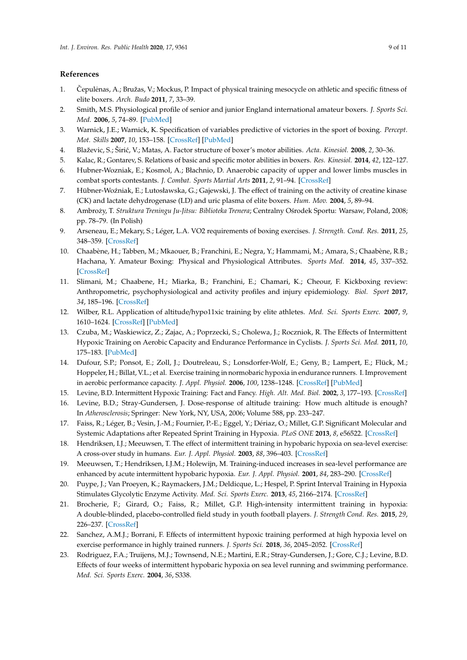# **References**

- <span id="page-8-0"></span>1. Čepulėnas, A.; Bružas, V.; Mockus, P. Impact of physical training mesocycle on athletic and specific fitness of elite boxers. *Arch. Budo* **2011**, *7*, 33–39.
- 2. Smith, M.S. Physiological profile of senior and junior England international amateur boxers. *J. Sports Sci. Med.* **2006**, *5*, 74–89. [\[PubMed\]](http://www.ncbi.nlm.nih.gov/pubmed/24357979)
- <span id="page-8-1"></span>3. Warnick, J.E.; Warnick, K. Specification of variables predictive of victories in the sport of boxing. *Percept. Mot. Skills* **2007**, *10*, 153–158. [\[CrossRef\]](http://dx.doi.org/10.2466/pms.105.1.153-158) [\[PubMed\]](http://www.ncbi.nlm.nih.gov/pubmed/17918558)
- <span id="page-8-2"></span>4. Blaževic, S.; Širi´c, V.; Matas, A. Factor structure of boxer's motor abilities. *Acta. Kinesiol.* **2008**, *2*, 30–36.
- <span id="page-8-3"></span>5. Kalac, R.; Gontarev, S. Relations of basic and specific motor abilities in boxers. *Res. Kinesiol.* **2014**, *42*, 122–127.
- <span id="page-8-4"></span>6. Hubner-Wozniak, E.; Kosmol, A.; Błachnio, D. Anaerobic capacity of upper and lower limbs muscles in combat sports contestants. *J. Combat. Sports Martial Arts* **2011**, *2*, 91–94. [\[CrossRef\]](http://dx.doi.org/10.5604/20815735.1047140)
- <span id="page-8-5"></span>7. Hübner-Woźniak, E.; Lutosławska, G.; Gajewski, J. The effect of training on the activity of creatine kinase (CK) and lactate dehydrogenase (LD) and uric plasma of elite boxers. *Hum. Mov.* **2004**, *5*, 89–94.
- <span id="page-8-6"></span>8. Ambroży, T. *Struktura Treningu Ju-Jitsu: Biblioteka Trenera*; Centralny Ośrodek Sportu: Warsaw, Poland, 2008; pp. 78–79. (In Polish)
- <span id="page-8-7"></span>9. Arseneau, E.; Mekary, S.; Léger, L.A. VO2 requirements of boxing exercises. *J. Strength. Cond. Res.* **2011**, *25*, 348–359. [\[CrossRef\]](http://dx.doi.org/10.1519/JSC.0b013e3181ef64cb)
- <span id="page-8-8"></span>10. Chaabène, H.; Tabben, M.; Mkaouer, B.; Franchini, E.; Negra, Y.; Hammami, M.; Amara, S.; Chaabène, R.B.; Hachana, Y. Amateur Boxing: Physical and Physiological Attributes. *Sports Med.* **2014**, *45*, 337–352. [\[CrossRef\]](http://dx.doi.org/10.1007/s40279-014-0274-7)
- <span id="page-8-9"></span>11. Slimani, M.; Chaabene, H.; Miarka, B.; Franchini, E.; Chamari, K.; Cheour, F. Kickboxing review: Anthropometric, psychophysiological and activity profiles and injury epidemiology. *Biol. Sport* **2017**, *34*, 185–196. [\[CrossRef\]](http://dx.doi.org/10.5114/biolsport.2017.65338)
- <span id="page-8-10"></span>12. Wilber, R.L. Application of altitude/hypo11xic training by elite athletes. *Med. Sci. Sports Exerc.* **2007**, *9*, 1610–1624. [\[CrossRef\]](http://dx.doi.org/10.1249/mss.0b013e3180de49e6) [\[PubMed\]](http://www.ncbi.nlm.nih.gov/pubmed/17805095)
- <span id="page-8-11"></span>13. Czuba, M.; Waskiewicz, Z.; Zajac, A.; Poprzecki, S.; Cholewa, J.; Roczniok, R. The Effects of Intermittent Hypoxic Training on Aerobic Capacity and Endurance Performance in Cyclists. *J. Sports Sci. Med.* **2011**, *10*, 175–183. [\[PubMed\]](http://www.ncbi.nlm.nih.gov/pubmed/24149312)
- <span id="page-8-12"></span>14. Dufour, S.P.; Ponsot, E.; Zoll, J.; Doutreleau, S.; Lonsdorfer-Wolf, E.; Geny, B.; Lampert, E.; Flück, M.; Hoppeler, H.; Billat, V.L.; et al. Exercise training in normobaric hypoxia in endurance runners. I. Improvement in aerobic performance capacity. *J. Appl. Physiol.* **2006**, *100*, 1238–1248. [\[CrossRef\]](http://dx.doi.org/10.1152/japplphysiol.00742.2005) [\[PubMed\]](http://www.ncbi.nlm.nih.gov/pubmed/16540709)
- <span id="page-8-13"></span>15. Levine, B.D. Intermittent Hypoxic Training: Fact and Fancy. *High. Alt. Med. Biol.* **2002**, *3*, 177–193. [\[CrossRef\]](http://dx.doi.org/10.1089/15270290260131911)
- <span id="page-8-14"></span>16. Levine, B.D.; Stray-Gundersen, J. Dose-response of altitude training: How much altitude is enough? In *Atherosclerosis*; Springer: New York, NY, USA, 2006; Volume 588, pp. 233–247.
- <span id="page-8-15"></span>17. Faiss, R.; Léger, B.; Vesin, J.-M.; Fournier, P.-E.; Eggel, Y.; Dériaz, O.; Millet, G.P. Significant Molecular and Systemic Adaptations after Repeated Sprint Training in Hypoxia. *PLoS ONE* **2013**, *8*, e56522. [\[CrossRef\]](http://dx.doi.org/10.1371/journal.pone.0056522)
- <span id="page-8-20"></span>18. Hendriksen, I.J.; Meeuwsen, T. The effect of intermittent training in hypobaric hypoxia on sea-level exercise: A cross-over study in humans. *Eur. J. Appl. Physiol.* **2003**, *88*, 396–403. [\[CrossRef\]](http://dx.doi.org/10.1007/s00421-002-0708-z)
- <span id="page-8-21"></span>19. Meeuwsen, T.; Hendriksen, I.J.M.; Holewijn, M. Training-induced increases in sea-level performance are enhanced by acute intermittent hypobaric hypoxia. *Eur. J. Appl. Physiol.* **2001**, *84*, 283–290. [\[CrossRef\]](http://dx.doi.org/10.1007/s004210000363)
- <span id="page-8-16"></span>20. Puype, J.; Van Proeyen, K.; Raymackers, J.M.; Deldicque, L.; Hespel, P. Sprint Interval Training in Hypoxia Stimulates Glycolytic Enzyme Activity. *Med. Sci. Sports Exerc.* **2013**, *45*, 2166–2174. [\[CrossRef\]](http://dx.doi.org/10.1249/MSS.0b013e31829734ae)
- <span id="page-8-17"></span>21. Brocherie, F.; Girard, O.; Faiss, R.; Millet, G.P. High-intensity intermittent training in hypoxia: A double-blinded, placebo-controlled field study in youth football players. *J. Strength Cond. Res.* **2015**, *29*, 226–237. [\[CrossRef\]](http://dx.doi.org/10.1519/JSC.0000000000000590)
- <span id="page-8-18"></span>22. Sanchez, A.M.J.; Borrani, F. Effects of intermittent hypoxic training performed at high hypoxia level on exercise performance in highly trained runners. *J. Sports Sci.* **2018**, *36*, 2045–2052. [\[CrossRef\]](http://dx.doi.org/10.1080/02640414.2018.1434747)
- <span id="page-8-19"></span>23. Rodriguez, F.A.; Truijens, M.J.; Townsend, N.E.; Martini, E.R.; Stray-Gundersen, J.; Gore, C.J.; Levine, B.D. Effects of four weeks of intermittent hypobaric hypoxia on sea level running and swimming performance. *Med. Sci. Sports Exerc.* **2004**, *36*, S338.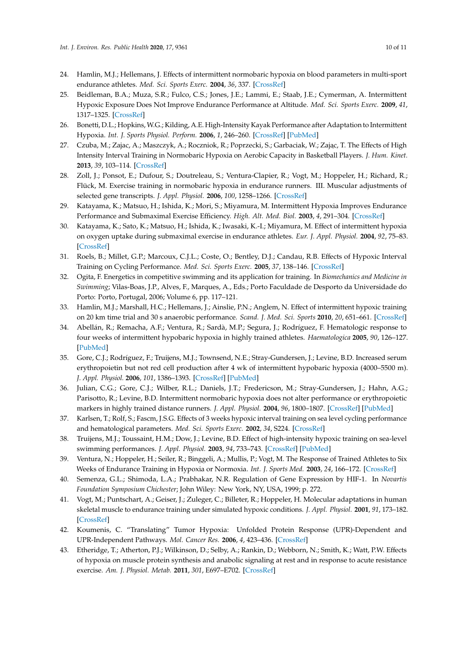- <span id="page-9-0"></span>24. Hamlin, M.J.; Hellemans, J. Effects of intermittent normobaric hypoxia on blood parameters in multi-sport endurance athletes. *Med. Sci. Sports Exerc.* **2004**, *36*, 337. [\[CrossRef\]](http://dx.doi.org/10.1249/00005768-200405001-01616)
- <span id="page-9-1"></span>25. Beidleman, B.A.; Muza, S.R.; Fulco, C.S.; Jones, J.E.; Lammi, E.; Staab, J.E.; Cymerman, A. Intermittent Hypoxic Exposure Does Not Improve Endurance Performance at Altitude. *Med. Sci. Sports Exerc.* **2009**, *41*, 1317–1325. [\[CrossRef\]](http://dx.doi.org/10.1249/MSS.0b013e3181954601)
- <span id="page-9-2"></span>26. Bonetti, D.L.; Hopkins, W.G.; Kilding, A.E. High-Intensity Kayak Performance after Adaptation to Intermittent Hypoxia. *Int. J. Sports Physiol. Perform.* **2006**, *1*, 246–260. [\[CrossRef\]](http://dx.doi.org/10.1123/ijspp.1.3.246) [\[PubMed\]](http://www.ncbi.nlm.nih.gov/pubmed/19116438)
- <span id="page-9-3"></span>27. Czuba, M.; Zajac, A.; Maszczyk, A.; Roczniok, R.; Poprzecki, S.; Garbaciak, W.; Zając, T. The Effects of High Intensity Interval Training in Normobaric Hypoxia on Aerobic Capacity in Basketball Players. *J. Hum. Kinet.* **2013**, *39*, 103–114. [\[CrossRef\]](http://dx.doi.org/10.2478/hukin-2013-0073)
- <span id="page-9-4"></span>28. Zoll, J.; Ponsot, E.; Dufour, S.; Doutreleau, S.; Ventura-Clapier, R.; Vogt, M.; Hoppeler, H.; Richard, R.; Flück, M. Exercise training in normobaric hypoxia in endurance runners. III. Muscular adjustments of selected gene transcripts. *J. Appl. Physiol.* **2006**, *100*, 1258–1266. [\[CrossRef\]](http://dx.doi.org/10.1152/japplphysiol.00359.2005)
- <span id="page-9-5"></span>29. Katayama, K.; Matsuo, H.; Ishida, K.; Mori, S.; Miyamura, M. Intermittent Hypoxia Improves Endurance Performance and Submaximal Exercise Efficiency. *High. Alt. Med. Biol.* **2003**, *4*, 291–304. [\[CrossRef\]](http://dx.doi.org/10.1089/152702903769192250)
- <span id="page-9-6"></span>30. Katayama, K.; Sato, K.; Matsuo, H.; Ishida, K.; Iwasaki, K.-I.; Miyamura, M. Effect of intermittent hypoxia on oxygen uptake during submaximal exercise in endurance athletes. *Eur. J. Appl. Physiol.* **2004**, *92*, 75–83. [\[CrossRef\]](http://dx.doi.org/10.1007/s00421-004-1054-0)
- <span id="page-9-7"></span>31. Roels, B.; Millet, G.P.; Marcoux, C.J.L.; Coste, O.; Bentley, D.J.; Candau, R.B. Effects of Hypoxic Interval Training on Cycling Performance. *Med. Sci. Sports Exerc.* **2005**, *37*, 138–146. [\[CrossRef\]](http://dx.doi.org/10.1249/01.MSS.0000150077.30672.88)
- <span id="page-9-8"></span>32. Ogita, F. Energetics in competitive swimming and its application for training. In *Biomechanics and Medicine in Swimming*; Vilas-Boas, J.P., Alves, F., Marques, A., Eds.; Porto Faculdade de Desporto da Universidade do Porto: Porto, Portugal, 2006; Volume 6, pp. 117–121.
- <span id="page-9-9"></span>33. Hamlin, M.J.; Marshall, H.C.; Hellemans, J.; Ainslie, P.N.; Anglem, N. Effect of intermittent hypoxic training on 20 km time trial and 30 s anaerobic performance. *Scand. J. Med. Sci. Sports* **2010**, *20*, 651–661. [\[CrossRef\]](http://dx.doi.org/10.1111/j.1600-0838.2009.00946.x)
- <span id="page-9-10"></span>34. Abellán, R.; Remacha, A.F.; Ventura, R.; Sardà, M.P.; Segura, J.; Rodríguez, F. Hematologic response to four weeks of intermittent hypobaric hypoxia in highly trained athletes. *Haematologica* **2005**, *90*, 126–127. [\[PubMed\]](http://www.ncbi.nlm.nih.gov/pubmed/15642679)
- 35. Gore, C.J.; Rodríguez, F.; Truijens, M.J.; Townsend, N.E.; Stray-Gundersen, J.; Levine, B.D. Increased serum erythropoietin but not red cell production after 4 wk of intermittent hypobaric hypoxia (4000–5500 m). *J. Appl. Physiol.* **2006**, *101*, 1386–1393. [\[CrossRef\]](http://dx.doi.org/10.1152/japplphysiol.00342.2006) [\[PubMed\]](http://www.ncbi.nlm.nih.gov/pubmed/16794028)
- 36. Julian, C.G.; Gore, C.J.; Wilber, R.L.; Daniels, J.T.; Fredericson, M.; Stray-Gundersen, J.; Hahn, A.G.; Parisotto, R.; Levine, B.D. Intermittent normobaric hypoxia does not alter performance or erythropoietic markers in highly trained distance runners. *J. Appl. Physiol.* **2004**, *96*, 1800–1807. [\[CrossRef\]](http://dx.doi.org/10.1152/japplphysiol.00969.2003) [\[PubMed\]](http://www.ncbi.nlm.nih.gov/pubmed/14672967)
- 37. Karlsen, T.; Rolf, S.; Fascm, J.S.G. Effects of 3 weeks hypoxic interval training on sea level cycling performance and hematological parameters. *Med. Sci. Sports Exerc.* **2002**, *34*, S224. [\[CrossRef\]](http://dx.doi.org/10.1097/00005768-200205001-01250)
- 38. Truijens, M.J.; Toussaint, H.M.; Dow, J.; Levine, B.D. Effect of high-intensity hypoxic training on sea-level swimming performances. *J. Appl. Physiol.* **2003**, *94*, 733–743. [\[CrossRef\]](http://dx.doi.org/10.1152/japplphysiol.00079.2002) [\[PubMed\]](http://www.ncbi.nlm.nih.gov/pubmed/12391107)
- <span id="page-9-11"></span>39. Ventura, N.; Hoppeler, H.; Seiler, R.; Binggeli, A.; Mullis, P.; Vogt, M. The Response of Trained Athletes to Six Weeks of Endurance Training in Hypoxia or Normoxia. *Int. J. Sports Med.* **2003**, *24*, 166–172. [\[CrossRef\]](http://dx.doi.org/10.1055/s-2003-39086)
- <span id="page-9-12"></span>40. Semenza, G.L.; Shimoda, L.A.; Prabhakar, N.R. Regulation of Gene Expression by HIF-1. In *Novartis Foundation Symposium Chichester*; John Wiley: New York, NY, USA, 1999; p. 272.
- <span id="page-9-13"></span>41. Vogt, M.; Puntschart, A.; Geiser, J.; Zuleger, C.; Billeter, R.; Hoppeler, H. Molecular adaptations in human skeletal muscle to endurance training under simulated hypoxic conditions. *J. Appl. Physiol.* **2001**, *91*, 173–182. [\[CrossRef\]](http://dx.doi.org/10.1152/jappl.2001.91.1.173)
- <span id="page-9-14"></span>42. Koumenis, C. "Translating" Tumor Hypoxia: Unfolded Protein Response (UPR)-Dependent and UPR-Independent Pathways. *Mol. Cancer Res.* **2006**, *4*, 423–436. [\[CrossRef\]](http://dx.doi.org/10.1158/1541-7786.MCR-06-0150)
- <span id="page-9-15"></span>43. Etheridge, T.; Atherton, P.J.; Wilkinson, D.; Selby, A.; Rankin, D.; Webborn, N.; Smith, K.; Watt, P.W. Effects of hypoxia on muscle protein synthesis and anabolic signaling at rest and in response to acute resistance exercise. *Am. J. Physiol. Metab.* **2011**, *301*, E697–E702. [\[CrossRef\]](http://dx.doi.org/10.1152/ajpendo.00276.2011)